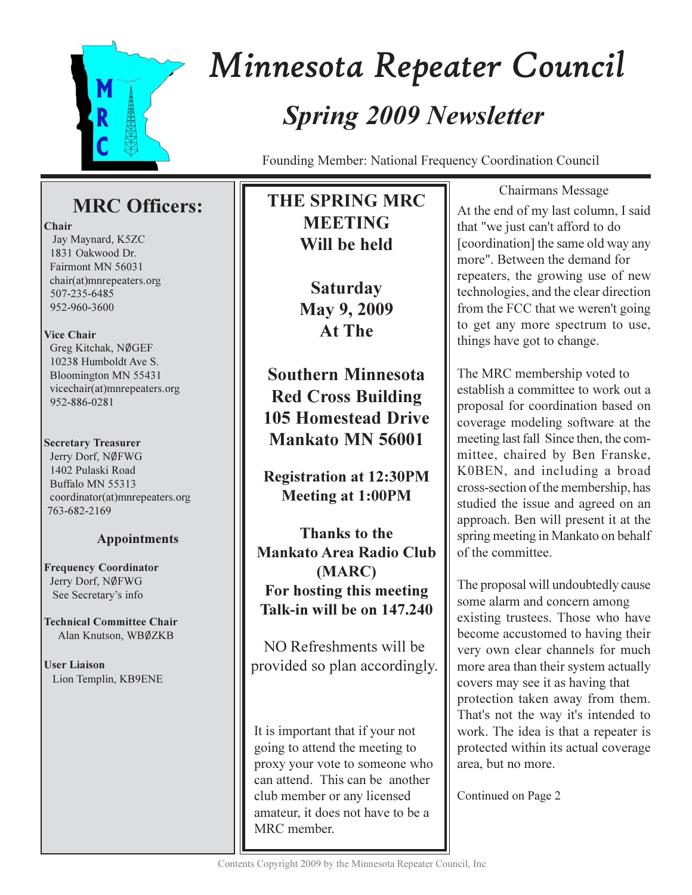

# Minnesota Repeater Council **Spring 2009 Newsletter**

Founding Member: National Frequency Coordination Council

# **MRC** Officers:

## Chair

Jay Maynard, K5ZC 1831 Oakwood Dr. Fairmont MN 56031 chair(at)mnrepeaters.org 507-235-6485 952-960-3600

# **Vice Chair**

Greg Kitchak, NØGEF 10238 Humboldt Ave S. Bloomington MN 55431 vicechair(at)mnrepeaters.org 952-886-0281

# **Secretary Treasurer**

Jerry Dorf, NØFWG 1402 Pulaski Road Buffalo MN 55313 coordinator(at)mnrepeaters.org 763-682-2169

# **Appointments**

**Frequency Coordinator** Jerry Dorf, NØFWG See Secretary's info

**Technical Committee Chair** Alan Knutson, WBØZKB

**User Liaison** Lion Templin, KB9ENE

# **THE SPRING MRC MEETING** Will be held

**Saturday** May 9, 2009 At The

**Southern Minnesota Red Cross Building 105 Homestead Drive** Mankato MN 56001

**Registration at 12:30PM Meeting at 1:00PM** 

**Thanks to the Mankato Area Radio Club** (MARC) For hosting this meeting Talk-in will be on 147,240

NO Refreshments will be provided so plan accordingly.

It is important that if your not going to attend the meeting to proxy your vote to someone who can attend. This can be another club member or any licensed amateur, it does not have to be a MRC member.

Chairmans Message At the end of my last column, I said that "we just can't afford to do [coordination] the same old way any more". Between the demand for repeaters, the growing use of new technologies, and the clear direction from the FCC that we weren't going to get any more spectrum to use, things have got to change.

The MRC membership voted to establish a committee to work out a proposal for coordination based on coverage modeling software at the meeting last fall Since then, the committee, chaired by Ben Franske, K0BEN, and including a broad cross-section of the membership, has studied the issue and agreed on an approach. Ben will present it at the spring meeting in Mankato on behalf of the committee.

The proposal will undoubtedly cause some alarm and concern among existing trustees. Those who have become accustomed to having their very own clear channels for much more area than their system actually covers may see it as having that protection taken away from them. That's not the way it's intended to work. The idea is that a repeater is protected within its actual coverage area, but no more.

Continued on Page 2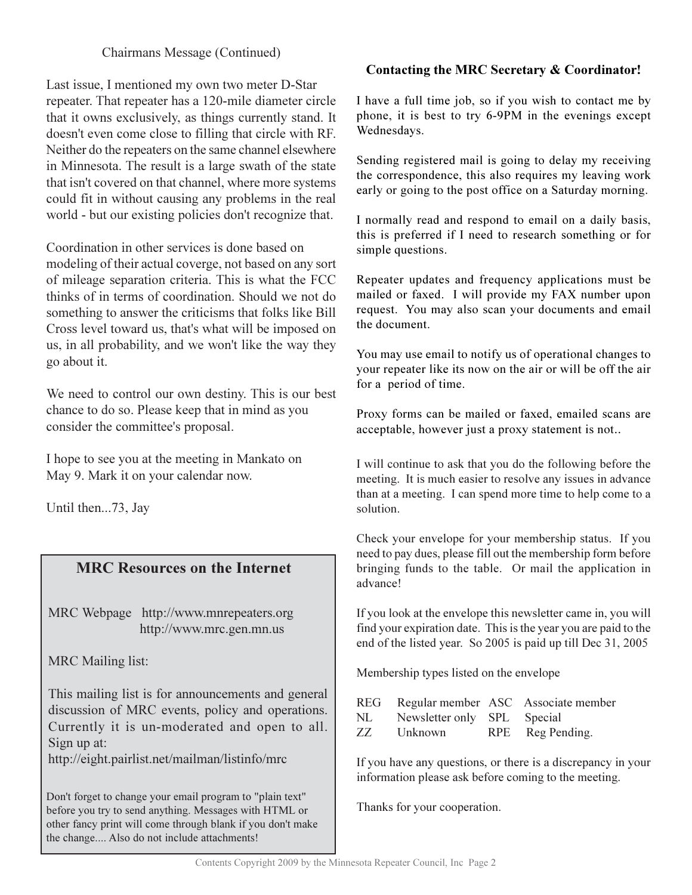# Chairmans Message (Continued)

Last issue, I mentioned my own two meter D-Star repeater. That repeater has a 120-mile diameter circle that it owns exclusively, as things currently stand. It doesn't even come close to filling that circle with RF. Neither do the repeaters on the same channel elsewhere in Minnesota. The result is a large swath of the state that isn't covered on that channel, where more systems could fit in without causing any problems in the real world - but our existing policies don't recognize that.

Coordination in other services is done based on modeling of their actual coverge, not based on any sort of mileage separation criteria. This is what the FCC thinks of in terms of coordination. Should we not do something to answer the criticisms that folks like Bill Cross level toward us, that's what will be imposed on us, in all probability, and we won't like the way they go about it.

We need to control our own destiny. This is our best chance to do so. Please keep that in mind as you consider the committee's proposal.

I hope to see you at the meeting in Mankato on May 9. Mark it on your calendar now.

Until then...73, Jay

# **MRC Resources on the Internet**

MRC Webpage http://www.mnrepeaters.org http://www.mrc.gen.mn.us

**MRC** Mailing list:

This mailing list is for announcements and general discussion of MRC events, policy and operations. Currently it is un-moderated and open to all. Sign up at:

http://eight.pairlist.net/mailman/listinfo/mrc

Don't forget to change your email program to "plain text" before you try to send anything. Messages with HTML or other fancy print will come through blank if you don't make the change.... Also do not include attachments!

# Contacting the MRC Secretary & Coordinator!

I have a full time job, so if you wish to contact me by phone, it is best to try 6-9PM in the evenings except Wednesdays.

Sending registered mail is going to delay my receiving the correspondence, this also requires my leaving work early or going to the post office on a Saturday morning.

I normally read and respond to email on a daily basis, this is preferred if I need to research something or for simple questions.

Repeater updates and frequency applications must be mailed or faxed. I will provide my FAX number upon request. You may also scan your documents and email the document.

You may use email to notify us of operational changes to your repeater like its now on the air or will be off the air for a period of time.

Proxy forms can be mailed or faxed, emailed scans are acceptable, however just a proxy statement is not..

I will continue to ask that you do the following before the meeting. It is much easier to resolve any issues in advance than at a meeting. I can spend more time to help come to a solution.

Check your envelope for your membership status. If you need to pay dues, please fill out the membership form before bringing funds to the table. Or mail the application in advance!

If you look at the envelope this newsletter came in, you will find your expiration date. This is the year you are paid to the end of the listed year. So 2005 is paid up till Dec 31, 2005

Membership types listed on the envelope

|     |                             | REG Regular member ASC Associate member |
|-----|-----------------------------|-----------------------------------------|
| NL. | Newsletter only SPL Special |                                         |
| 77. | Unknown                     | RPE Reg Pending.                        |

If you have any questions, or there is a discrepancy in your information please ask before coming to the meeting.

Thanks for your cooperation.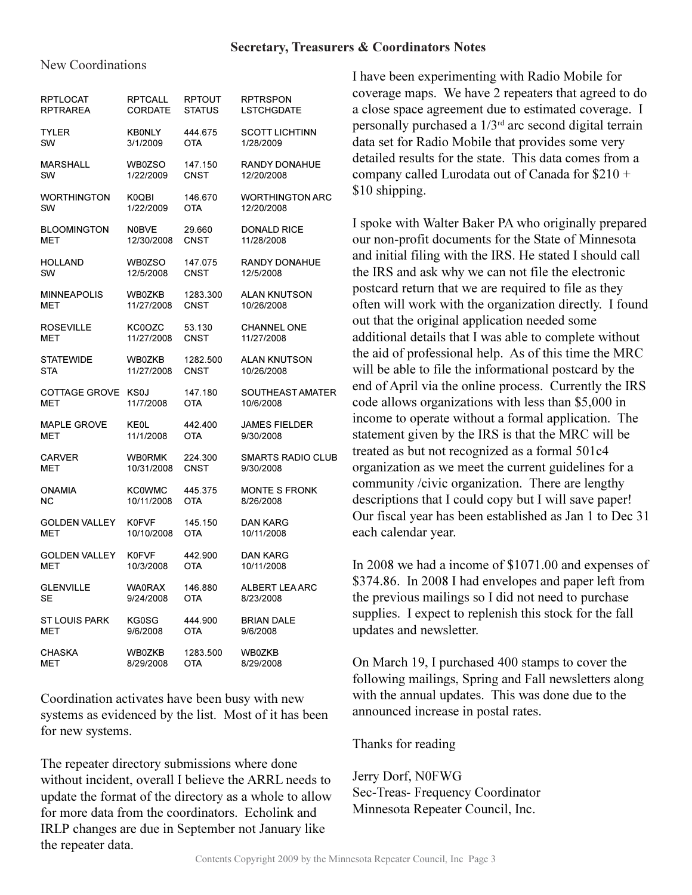## New Coordinations

| RPTLOCAT             | <b>RPTCALL</b> | <b>RPTOUT</b> | <b>RPTRSPON</b>          |
|----------------------|----------------|---------------|--------------------------|
| <b>RPTRAREA</b>      | <b>CORDATE</b> | <b>STATUS</b> | <b>LSTCHGDATE</b>        |
| <b>TYLER</b>         | <b>KB0NLY</b>  | 444.675       | <b>SCOTT LICHTINN</b>    |
| SW                   | 3/1/2009       | OTA           | 1/28/2009                |
| <b>MARSHALL</b>      | WB0ZSO         | 147.150       | <b>RANDY DONAHUE</b>     |
| SW                   | 1/22/2009      | CNST          | 12/20/2008               |
| WORTHINGTON          | K0QBI          | 146.670       | <b>WORTHINGTON ARC</b>   |
| SW                   | 1/22/2009      | OTA           | 12/20/2008               |
| <b>BLOOMINGTON</b>   | <b>N0BVE</b>   | 29.660        | <b>DONALD RICE</b>       |
| мет                  | 12/30/2008     | <b>CNST</b>   | 11/28/2008               |
| <b>HOLLAND</b>       | WB0ZSO         | 147.075       | RANDY DONAHUE            |
| SW                   | 12/5/2008      | CNST          | 12/5/2008                |
| <b>MINNEAPOLIS</b>   | <b>WB0ZKB</b>  | 1283.300      | <b>ALAN KNUTSON</b>      |
| мет                  | 11/27/2008     | CNST          | 10/26/2008               |
| ROSEVILLE            | KC0OZC         | 53.130        | <b>CHANNEL ONE</b>       |
| мет                  | 11/27/2008     | CNST          | 11/27/2008               |
| <b>STATEWIDE</b>     | WB0ZKB         | 1282.500      | <b>ALAN KNUTSON</b>      |
| STA                  | 11/27/2008     | CNST          | 10/26/2008               |
| COTTAGE GROVE        | KS0J           | 147.180       | SOUTHEAST AMATER         |
| мет                  | 11/7/2008      | OTA           | 10/6/2008                |
| <b>MAPLE GROVE</b>   | <b>KE0L</b>    | 442.400       | <b>JAMES FIELDER</b>     |
| MET                  | 11/1/2008      | OTA           | 9/30/2008                |
| CARVER               | <b>WB0RMK</b>  | 224.300       | <b>SMARTS RADIO CLUB</b> |
| MET                  | 10/31/2008     | CNST          | 9/30/2008                |
| <b>ONAMIA</b>        | <b>KC0WMC</b>  | 445.375       | <b>MONTE S FRONK</b>     |
| ΝC                   | 10/11/2008     | OTA           | 8/26/2008                |
| <b>GOLDEN VALLEY</b> | <b>K0FVF</b>   | 145.150       | <b>DAN KARG</b>          |
| MET                  | 10/10/2008     | OTA           | 10/11/2008               |
| <b>GOLDEN VALLEY</b> | <b>K0FVF</b>   | 442.900       | <b>DAN KARG</b>          |
| MET                  | 10/3/2008      | OTA           | 10/11/2008               |
| <b>GLENVILLE</b>     | <b>WA0RAX</b>  | 146.880       | ALBERT LEA ARC           |
| SE                   | 9/24/2008      | OTA           | 8/23/2008                |
| ST LOUIS PARK        | KG0SG          | 444.900       | <b>BRIAN DALE</b>        |
| MET                  | 9/6/2008       | OTA           | 9/6/2008                 |
| <b>CHASKA</b>        | WB0ZKB         | 1283.500      | WB0ZKB                   |
| MET                  | 8/29/2008      | OTA           | 8/29/2008                |

Coordination activates have been busy with new systems as evidenced by the list. Most of it has been for new systems.

The repeater directory submissions where done without incident, overall I believe the ARRL needs to update the format of the directory as a whole to allow for more data from the coordinators. Echolink and IRLP changes are due in September not January like the repeater data.

I have been experimenting with Radio Mobile for coverage maps. We have 2 repeaters that agreed to do a close space agreement due to estimated coverage. I personally purchased a  $1/3^{rd}$  arc second digital terrain data set for Radio Mobile that provides some very detailed results for the state. This data comes from a company called Lurodata out of Canada for \$210 + \$10 shipping.

I spoke with Walter Baker PA who originally prepared our non-profit documents for the State of Minnesota and initial filing with the IRS. He stated I should call the IRS and ask why we can not file the electronic postcard return that we are required to file as they often will work with the organization directly. I found out that the original application needed some additional details that I was able to complete without the aid of professional help. As of this time the MRC will be able to file the informational postcard by the end of April via the online process. Currently the IRS code allows organizations with less than \$5,000 in income to operate without a formal application. The statement given by the IRS is that the MRC will be treated as but not recognized as a formal 501c4 organization as we meet the current guidelines for a community /civic organization. There are lengthy descriptions that I could copy but I will save paper! Our fiscal year has been established as Jan 1 to Dec 31 each calendar year.

In 2008 we had a income of \$1071.00 and expenses of \$374.86. In 2008 I had envelopes and paper left from the previous mailings so I did not need to purchase supplies. I expect to replenish this stock for the fall undates and newsletter.

On March 19, I purchased 400 stamps to cover the following mailings, Spring and Fall newsletters along with the annual updates. This was done due to the announced increase in postal rates.

Thanks for reading

Jerry Dorf, N0FWG Sec-Treas- Frequency Coordinator Minnesota Repeater Council, Inc.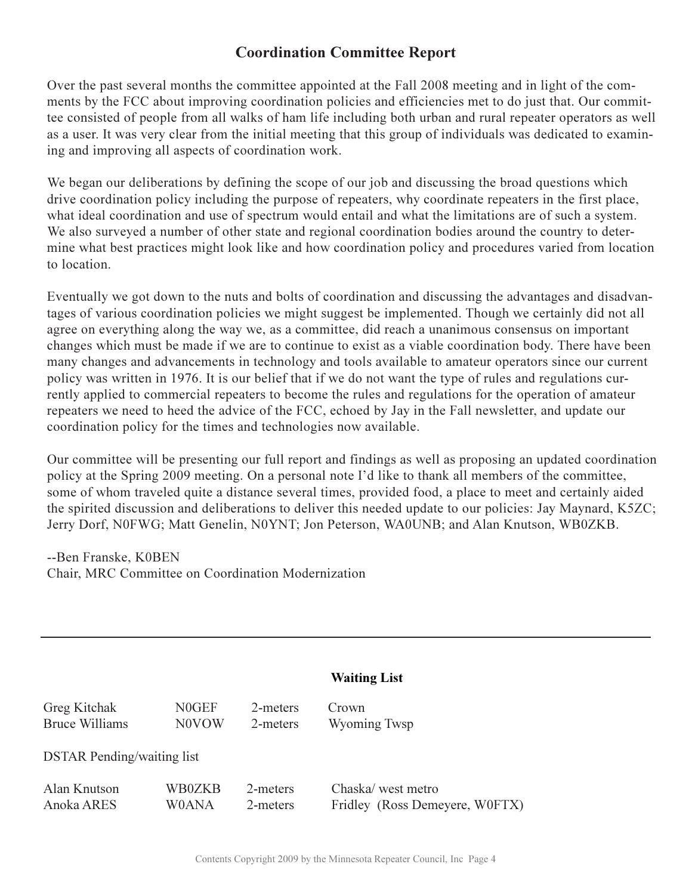# **Coordination Committee Report**

Over the past several months the committee appointed at the Fall 2008 meeting and in light of the comments by the FCC about improving coordination policies and efficiencies met to do just that. Our committee consisted of people from all walks of ham life including both urban and rural repeater operators as well as a user. It was very clear from the initial meeting that this group of individuals was dedicated to examining and improving all aspects of coordination work.

We began our deliberations by defining the scope of our job and discussing the broad questions which drive coordination policy including the purpose of repeaters, why coordinate repeaters in the first place, what ideal coordination and use of spectrum would entail and what the limitations are of such a system. We also surveyed a number of other state and regional coordination bodies around the country to determine what best practices might look like and how coordination policy and procedures varied from location to location.

Eventually we got down to the nuts and bolts of coordination and discussing the advantages and disadvantages of various coordination policies we might suggest be implemented. Though we certainly did not all agree on everything along the way we, as a committee, did reach a unanimous consensus on important changes which must be made if we are to continue to exist as a viable coordination body. There have been many changes and advancements in technology and tools available to amateur operators since our current policy was written in 1976. It is our belief that if we do not want the type of rules and regulations currently applied to commercial repeaters to become the rules and regulations for the operation of amateur repeaters we need to heed the advice of the FCC, echoed by Jay in the Fall newsletter, and update our coordination policy for the times and technologies now available.

Our committee will be presenting our full report and findings as well as proposing an updated coordination policy at the Spring 2009 meeting. On a personal note I'd like to thank all members of the committee, some of whom traveled quite a distance several times, provided food, a place to meet and certainly aided the spirited discussion and deliberations to deliver this needed update to our policies: Jay Maynard, K5ZC; Jerry Dorf, N0FWG; Matt Genelin, N0YNT; Jon Peterson, WA0UNB; and Alan Knutson, WB0ZKB.

--Ben Franske, K0BEN Chair, MRC Committee on Coordination Modernization

|                                   |        |          | <b>Waiting List</b>            |
|-----------------------------------|--------|----------|--------------------------------|
| <b>Greg Kitchak</b>               | N0GEF  | 2-meters | Crown                          |
| <b>Bruce Williams</b>             | N0VOW  | 2-meters | Wyoming Twsp                   |
| <b>DSTAR</b> Pending/waiting list |        |          |                                |
| Alan Knutson                      | WB0ZKB | 2-meters | Chaska/west metro              |
| Anoka ARES                        | W0ANA  | 2-meters | Fridley (Ross Demevere, W0FTX) |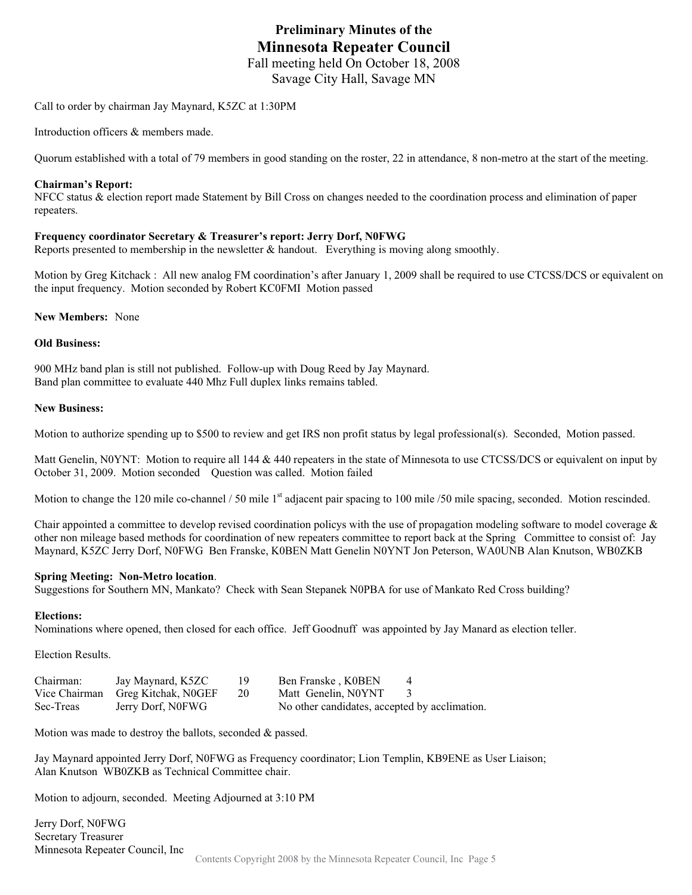# **Preliminary Minutes of the Minnesota Repeater Council**  Fall meeting held On October 18, 2008

Savage City Hall, Savage MN

Call to order by chairman Jay Maynard, K5ZC at 1:30PM

Introduction officers & members made.

Quorum established with a total of 79 members in good standing on the roster, 22 in attendance, 8 non-metro at the start of the meeting.

#### **Chairman's Report:**

NFCC status & election report made Statement by Bill Cross on changes needed to the coordination process and elimination of paper repeaters.

#### **Frequency coordinator Secretary & Treasurer's report: Jerry Dorf, N0FWG**

Reports presented to membership in the newsletter & handout. Everything is moving along smoothly.

Motion by Greg Kitchack : All new analog FM coordination's after January 1, 2009 shall be required to use CTCSS/DCS or equivalent on the input frequency. Motion seconded by Robert KC0FMI Motion passed

**New Members:** None

#### **Old Business:**

900 MHz band plan is still not published. Follow-up with Doug Reed by Jay Maynard. Band plan committee to evaluate 440 Mhz Full duplex links remains tabled.

#### **New Business:**

Motion to authorize spending up to \$500 to review and get IRS non profit status by legal professional(s). Seconded, Motion passed.

Matt Genelin, N0YNT: Motion to require all 144 & 440 repeaters in the state of Minnesota to use CTCSS/DCS or equivalent on input by October 31, 2009. Motion seconded Question was called. Motion failed

Motion to change the 120 mile co-channel / 50 mile 1<sup>st</sup> adjacent pair spacing to 100 mile / 50 mile spacing, seconded. Motion rescinded.

Chair appointed a committee to develop revised coordination policys with the use of propagation modeling software to model coverage  $\&$ other non mileage based methods for coordination of new repeaters committee to report back at the Spring Committee to consist of: Jay Maynard, K5ZC Jerry Dorf, N0FWG Ben Franske, K0BEN Matt Genelin N0YNT Jon Peterson, WA0UNB Alan Knutson, WB0ZKB

#### **Spring Meeting: Non-Metro location**.

Suggestions for Southern MN, Mankato? Check with Sean Stepanek N0PBA for use of Mankato Red Cross building?

#### **Elections:**

Nominations where opened, then closed for each office. Jeff Goodnuff was appointed by Jay Manard as election teller.

Election Results.

| Chairman: | Jay Maynard, K5ZC                 | 19. | Ben Franske, K0BEN                            |  |
|-----------|-----------------------------------|-----|-----------------------------------------------|--|
|           | Vice Chairman Greg Kitchak, NOGEF | -20 | Matt Genelin, N0YNT                           |  |
| Sec-Treas | Jerry Dorf, N0FWG                 |     | No other candidates, accepted by acclimation. |  |

Motion was made to destroy the ballots, seconded & passed.

Jay Maynard appointed Jerry Dorf, N0FWG as Frequency coordinator; Lion Templin, KB9ENE as User Liaison; Alan Knutson WB0ZKB as Technical Committee chair.

Motion to adjourn, seconded. Meeting Adjourned at 3:10 PM

Contents Copyright 2008 by the Minnesota Repeater Council, Inc Page 5 Jerry Dorf, N0FWG Secretary Treasurer Minnesota Repeater Council, Inc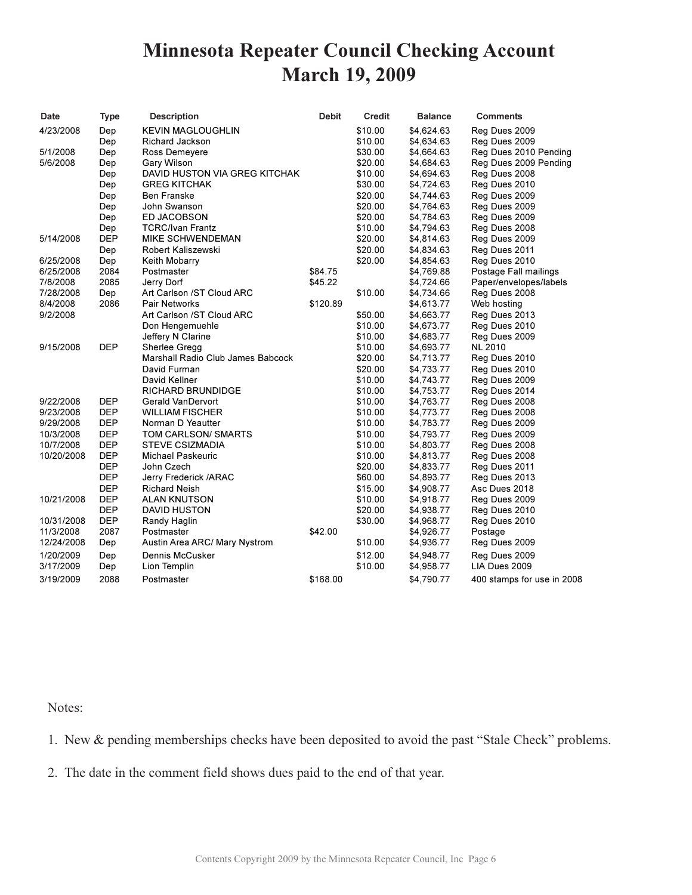# **Minnesota Repeater Council Checking Account March 19, 2009**

| Date       | <b>Type</b> | <b>Description</b>                | <b>Debit</b> | Credit  | <b>Balance</b> | Comments                   |
|------------|-------------|-----------------------------------|--------------|---------|----------------|----------------------------|
| 4/23/2008  | Dep         | <b>KEVIN MAGLOUGHLIN</b>          |              | \$10.00 | \$4,624.63     | Reg Dues 2009              |
|            | Dep         | Richard Jackson                   |              | \$10.00 | \$4,634.63     | Reg Dues 2009              |
| 5/1/2008   | Dep         | Ross Demeyere                     |              | \$30.00 | \$4,664.63     | Reg Dues 2010 Pending      |
| 5/6/2008   | Dep         | Gary Wilson                       |              | \$20.00 | \$4,684.63     | Reg Dues 2009 Pending      |
|            | Dep         | DAVID HUSTON VIA GREG KITCHAK     |              | \$10.00 | \$4,694.63     | Reg Dues 2008              |
|            | Dep         | <b>GREG KITCHAK</b>               |              | \$30.00 | \$4,724.63     | Reg Dues 2010              |
|            | Dep         | Ben Franske                       |              | \$20.00 | \$4,744.63     | Reg Dues 2009              |
|            | Dep         | John Swanson                      |              | \$20.00 | \$4,764.63     | Reg Dues 2009              |
|            | Dep         | <b>ED JACOBSON</b>                |              | \$20.00 | \$4,784.63     | Reg Dues 2009              |
|            | Dep         | <b>TCRC/Ivan Frantz</b>           |              | \$10.00 | \$4,794.63     | Reg Dues 2008              |
| 5/14/2008  | <b>DEP</b>  | <b>MIKE SCHWENDEMAN</b>           |              | \$20.00 | \$4,814.63     | Reg Dues 2009              |
|            | Dep         | Robert Kaliszewski                |              | \$20.00 | \$4,834.63     | Reg Dues 2011              |
| 6/25/2008  | Dep         | Keith Mobarry                     |              | \$20.00 | \$4,854.63     | Reg Dues 2010              |
| 6/25/2008  | 2084        | Postmaster                        | \$84.75      |         | \$4,769.88     | Postage Fall mailings      |
| 7/8/2008   | 2085        | Jerry Dorf                        | \$45.22      |         | \$4,724.66     | Paper/envelopes/labels     |
| 7/28/2008  | Dep         | Art Carlson /ST Cloud ARC         |              | \$10.00 | \$4,734.66     | Reg Dues 2008              |
| 8/4/2008   | 2086        | <b>Pair Networks</b>              | \$120.89     |         | \$4,613.77     | Web hosting                |
| 9/2/2008   |             | Art Carlson /ST Cloud ARC         |              | \$50.00 | \$4,663.77     | Reg Dues 2013              |
|            |             | Don Hengemuehle                   |              | \$10.00 | \$4,673.77     | Reg Dues 2010              |
|            |             | Jeffery N Clarine                 |              | \$10.00 | \$4,683.77     | Reg Dues 2009              |
| 9/15/2008  | <b>DEP</b>  | Sherlee Gregg                     |              | \$10.00 | \$4,693.77     | <b>NL 2010</b>             |
|            |             | Marshall Radio Club James Babcock |              | \$20.00 | \$4,713.77     | Reg Dues 2010              |
|            |             | David Furman                      |              | \$20.00 | \$4,733.77     | Reg Dues 2010              |
|            |             | David Kellner                     |              | \$10.00 | \$4,743.77     | Reg Dues 2009              |
|            |             | <b>RICHARD BRUNDIDGE</b>          |              | \$10.00 | \$4,753.77     | Reg Dues 2014              |
| 9/22/2008  | DEP         | Gerald VanDervort                 |              | \$10.00 | \$4,763.77     | Reg Dues 2008              |
| 9/23/2008  | <b>DEP</b>  | <b>WILLIAM FISCHER</b>            |              | \$10.00 | \$4,773.77     | Reg Dues 2008              |
| 9/29/2008  | DEP         | Norman D Yeautter                 |              | \$10.00 | \$4,783.77     | Reg Dues 2009              |
| 10/3/2008  | <b>DEP</b>  | TOM CARLSON/ SMARTS               |              | \$10.00 | \$4,793.77     | Reg Dues 2009              |
| 10/7/2008  | <b>DEP</b>  | <b>STEVE CSIZMADIA</b>            |              | \$10.00 | \$4,803.77     | Reg Dues 2008              |
| 10/20/2008 | <b>DEP</b>  | <b>Michael Paskeuric</b>          |              | \$10.00 | \$4,813.77     | Reg Dues 2008              |
|            | <b>DEP</b>  | John Czech                        |              | \$20.00 | \$4,833.77     | Reg Dues 2011              |
|            | <b>DEP</b>  | Jerry Frederick /ARAC             |              | \$60.00 | \$4,893.77     | Reg Dues 2013              |
|            | <b>DEP</b>  | <b>Richard Neish</b>              |              | \$15.00 | \$4,908.77     | Asc Dues 2018              |
| 10/21/2008 | <b>DEP</b>  | <b>ALAN KNUTSON</b>               |              | \$10.00 | \$4,918.77     | Reg Dues 2009              |
|            | <b>DEP</b>  | <b>DAVID HUSTON</b>               |              | \$20.00 | \$4,938.77     | Reg Dues 2010              |
| 10/31/2008 | DEP         | Randy Haglin                      |              | \$30.00 | \$4,968.77     | Reg Dues 2010              |
| 11/3/2008  | 2087        | Postmaster                        | \$42.00      |         | \$4,926.77     | Postage                    |
| 12/24/2008 | Dep         | Austin Area ARC/ Mary Nystrom     |              | \$10.00 | \$4,936.77     | Reg Dues 2009              |
| 1/20/2009  | Dep         | Dennis McCusker                   |              | \$12.00 | \$4,948.77     | Reg Dues 2009              |
| 3/17/2009  | Dep         | Lion Templin                      |              | \$10.00 | \$4,958.77     | LIA Dues 2009              |
| 3/19/2009  | 2088        | Postmaster                        | \$168.00     |         | \$4,790.77     | 400 stamps for use in 2008 |

### Notes:

1. New & pending memberships checks have been deposited to avoid the past "Stale Check" problems.

2. The date in the comment field shows dues paid to the end of that year.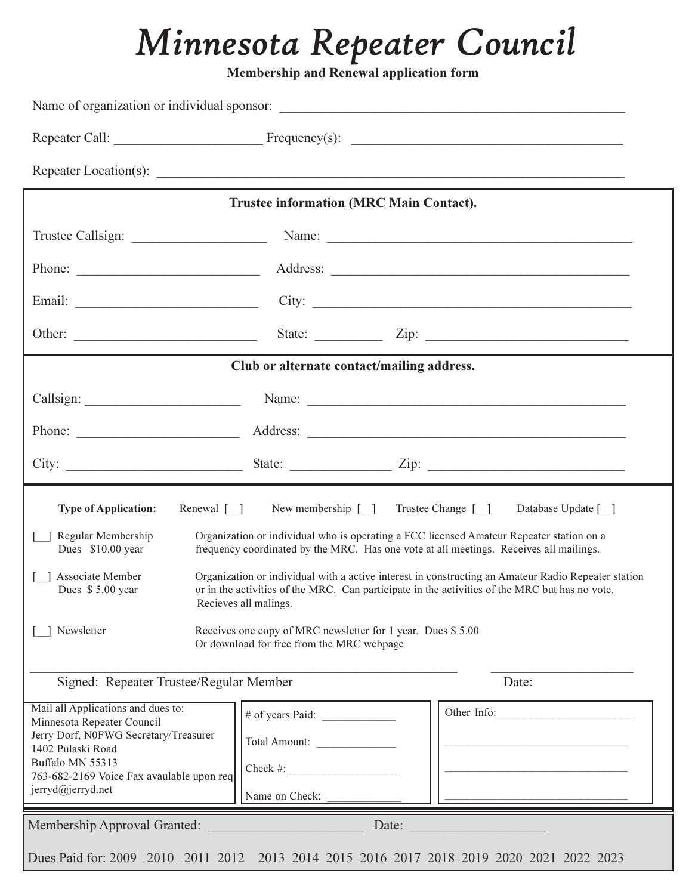# Minnesota Repeater Council

Membership and Renewal application form

|                                                                                                                                                                                                                                                                                                                                                                                                              | <b>Trustee information (MRC Main Contact).</b>                                                                                                                                                                                |                               |  |  |  |
|--------------------------------------------------------------------------------------------------------------------------------------------------------------------------------------------------------------------------------------------------------------------------------------------------------------------------------------------------------------------------------------------------------------|-------------------------------------------------------------------------------------------------------------------------------------------------------------------------------------------------------------------------------|-------------------------------|--|--|--|
|                                                                                                                                                                                                                                                                                                                                                                                                              |                                                                                                                                                                                                                               |                               |  |  |  |
| Phone: $\frac{1}{\sqrt{1-\frac{1}{2}}\sqrt{1-\frac{1}{2}}\sqrt{1-\frac{1}{2}}\sqrt{1-\frac{1}{2}}\sqrt{1-\frac{1}{2}}\sqrt{1-\frac{1}{2}}\sqrt{1-\frac{1}{2}}\sqrt{1-\frac{1}{2}}\sqrt{1-\frac{1}{2}}\sqrt{1-\frac{1}{2}}\sqrt{1-\frac{1}{2}}\sqrt{1-\frac{1}{2}}\sqrt{1-\frac{1}{2}}\sqrt{1-\frac{1}{2}}\sqrt{1-\frac{1}{2}}\sqrt{1-\frac{1}{2}}\sqrt{1-\frac{1}{2}}\sqrt{1-\frac{1}{2}}\sqrt{1-\frac{1}{2$ |                                                                                                                                                                                                                               |                               |  |  |  |
|                                                                                                                                                                                                                                                                                                                                                                                                              | City:                                                                                                                                                                                                                         |                               |  |  |  |
|                                                                                                                                                                                                                                                                                                                                                                                                              |                                                                                                                                                                                                                               | State: $\angle$ Zip: $\angle$ |  |  |  |
|                                                                                                                                                                                                                                                                                                                                                                                                              | Club or alternate contact/mailing address.                                                                                                                                                                                    |                               |  |  |  |
|                                                                                                                                                                                                                                                                                                                                                                                                              | Name: Name: Name: Name: Name: Name: Name: Name: Name: Name: Name: Name: Name: Name: Name: Name: Name: Name: Name: Name: Name: Name: Name: Name: Name: Name: Name: Name: Name: Name: Name: Name: Name: Name: Name: Name: Name: |                               |  |  |  |
|                                                                                                                                                                                                                                                                                                                                                                                                              |                                                                                                                                                                                                                               |                               |  |  |  |
|                                                                                                                                                                                                                                                                                                                                                                                                              |                                                                                                                                                                                                                               |                               |  |  |  |
| <b>Type of Application:</b><br>Renewal [ ]                                                                                                                                                                                                                                                                                                                                                                   | Trustee Change [ ]<br>New membership $[\ ]$                                                                                                                                                                                   | Database Update [_]           |  |  |  |
| Regular Membership<br>Organization or individual who is operating a FCC licensed Amateur Repeater station on a<br>Dues \$10.00 year<br>frequency coordinated by the MRC. Has one vote at all meetings. Receives all mailings.                                                                                                                                                                                |                                                                                                                                                                                                                               |                               |  |  |  |
| Associate Member<br>Organization or individual with a active interest in constructing an Amateur Radio Repeater station<br>or in the activities of the MRC. Can participate in the activities of the MRC but has no vote.<br>Dues \$5.00 year<br>Recieves all malings.                                                                                                                                       |                                                                                                                                                                                                                               |                               |  |  |  |
| Receives one copy of MRC newsletter for 1 year. Dues \$5.00<br>Newsletter<br>Or download for free from the MRC webpage                                                                                                                                                                                                                                                                                       |                                                                                                                                                                                                                               |                               |  |  |  |
| Signed: Repeater Trustee/Regular Member<br>Date:                                                                                                                                                                                                                                                                                                                                                             |                                                                                                                                                                                                                               |                               |  |  |  |
| Mail all Applications and dues to:<br>Minnesota Repeater Council<br>Jerry Dorf, N0FWG Secretary/Treasurer<br>1402 Pulaski Road<br>Buffalo MN 55313<br>763-682-2169 Voice Fax avaulable upon req<br>jerryd@jerryd.net                                                                                                                                                                                         | # of years Paid:<br>Total Amount:<br>$Check \#:\n$<br>Name on Check:                                                                                                                                                          | Other Info:                   |  |  |  |
| Membership Approval Granted:                                                                                                                                                                                                                                                                                                                                                                                 | Date:                                                                                                                                                                                                                         |                               |  |  |  |
|                                                                                                                                                                                                                                                                                                                                                                                                              | Dues Paid for: 2009 2010 2011 2012 2013 2014 2015 2016 2017 2018 2019 2020 2021 2022 2023                                                                                                                                     |                               |  |  |  |